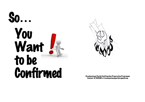



Brackenstown Parish Confirmation Preparation Programme<br>Contact: 01 8401661 or brackenstownparish@gmail.com